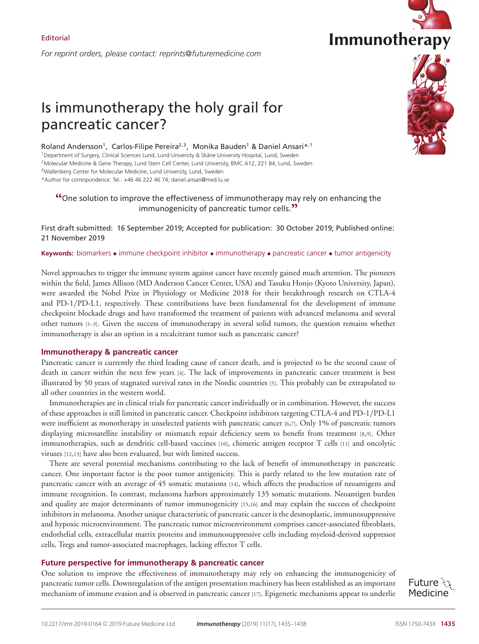*For reprint orders, please contact: reprints@futuremedicine.com*





# Is immunotherapy the holy grail for pancreatic cancer?

Roland Andersson<sup>1</sup>, Carlos-Filipe Pereira<sup>2,3</sup>, Monika Bauden<sup>1</sup> & Daniel Ansari\*,<sup>1</sup> 1Department of Surgery, Clinical Sciences Lund, Lund University & Skåne University Hospital, Lund, Sweden <sup>2</sup> Molecular Medicine & Gene Therapy, Lund Stem Cell Center, Lund University, BMC A12, 221 84, Lund, Sweden <sup>3</sup> Wallenberg Center for Molecular Medicine, Lund University, Lund, Sweden

\*Author for correspondence: Tel.: +46 46 222 46 74; daniel.ansari@med.lu.se

## **"**One solution to improve the effectiveness of immunotherapy may rely on enhancing the immunogenicity of pancreatic tumor cells.**"**

First draft submitted: 16 September 2019; Accepted for publication: 30 October 2019; Published online: 21 November 2019

## **Keywords:** biomarkers • immune checkpoint inhibitor • immunotherapy • pancreatic cancer • tumor antigenicity

Novel approaches to trigger the immune system against cancer have recently gained much attention. The pioneers within the field, James Allison (MD Anderson Cancer Center, USA) and Tasuku Honjo (Kyoto University, Japan), were awarded the Nobel Prize in Physiology or Medicine 2018 for their breakthrough research on CTLA-4 and PD-1/PD-L1, respectively. These contributions have been fundamental for the development of immune checkpoint blockade drugs and have transformed the treatment of patients with advanced melanoma and several other tumors [1–3]. Given the success of immunotherapy in several solid tumors, the question remains whether immunotherapy is also an option in a recalcitrant tumor such as pancreatic cancer?

## **Immunotherapy & pancreatic cancer**

Pancreatic cancer is currently the third leading cause of cancer death, and is projected to be the second cause of death in cancer within the next few years [4]. The lack of improvements in pancreatic cancer treatment is best illustrated by 50 years of stagnated survival rates in the Nordic countries [5]. This probably can be extrapolated to all other countries in the western world.

Immunotherapies are in clinical trials for pancreatic cancer individually or in combination. However, the success of these approaches is still limited in pancreatic cancer. Checkpoint inhibitors targeting CTLA-4 and PD-1/PD-L1 were inefficient as monotherapy in unselected patients with pancreatic cancer [6,7]. Only 1% of pancreatic tumors displaying microsatellite instability or mismatch repair deficiency seem to benefit from treatment [8,9]. Other immunotherapies, such as dendritic cell-based vaccines [10], chimeric antigen receptor T cells [11] and oncolytic viruses [12,13] have also been evaluated, but with limited success.

There are several potential mechanisms contributing to the lack of benefit of immunotherapy in pancreatic cancer. One important factor is the poor tumor antigenicity. This is partly related to the low mutation rate of pancreatic cancer with an average of 45 somatic mutations [14], which affects the production of neoantigens and immune recognition. In contrast, melanoma harbors approximately 135 somatic mutations. Neoantigen burden and quality are major determinants of tumor immunogenicity [15,16] and may explain the success of checkpoint inhibitors in melanoma. Another unique characteristic of pancreatic cancer is the desmoplastic, immunosuppressive and hypoxic microenvironment. The pancreatic tumor microenvironment comprises cancer-associated fibroblasts, endothelial cells, extracellular matrix proteins and immunosuppressive cells including myeloid-derived suppressor cells, Tregs and tumor-associated macrophages, lacking effector T cells.

## **Future perspective for immunotherapy & pancreatic cancer**

One solution to improve the effectiveness of immunotherapy may rely on enhancing the immunogenicity of pancreatic tumor cells. Downregulation of the antigen presentation machinery has been established as an important mechanism of immune evasion and is observed in pancreatic cancer [17]. Epigenetic mechanisms appear to underlie

Future : Medicine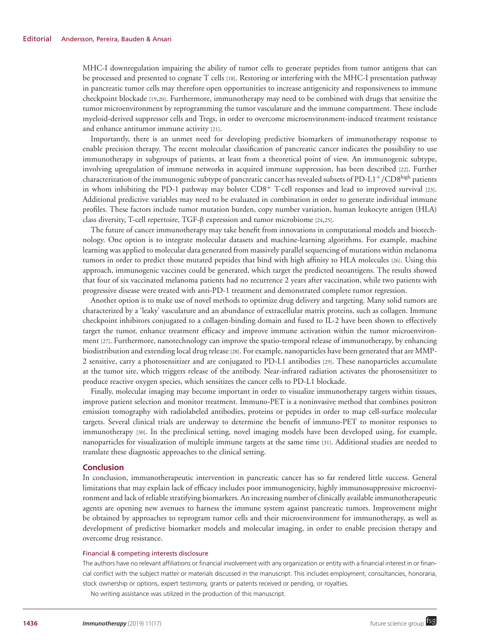MHC-I downregulation impairing the ability of tumor cells to generate peptides from tumor antigens that can be processed and presented to cognate T cells [18]. Restoring or interfering with the MHC-I presentation pathway in pancreatic tumor cells may therefore open opportunities to increase antigenicity and responsiveness to immune checkpoint blockade [19,20]. Furthermore, immunotherapy may need to be combined with drugs that sensitize the tumor microenvironment by reprogramming the tumor vasculature and the immune compartment. These include myeloid-derived suppressor cells and Tregs, in order to overcome microenvironment-induced treatment resistance and enhance antitumor immune activity [21].

Importantly, there is an unmet need for developing predictive biomarkers of immunotherapy response to enable precision therapy. The recent molecular classification of pancreatic cancer indicates the possibility to use immunotherapy in subgroups of patients, at least from a theoretical point of view. An immunogenic subtype, involving upregulation of immune networks in acquired immune suppression, has been described [22]. Further characterization of the immunogenic subtype of pancreatic cancer has revealed subsets of PD-L1+/CD8high patients in whom inhibiting the PD-1 pathway may bolster  $CD8<sup>+</sup>$  T-cell responses and lead to improved survival [23]. Additional predictive variables may need to be evaluated in combination in order to generate individual immune profiles. These factors include tumor mutation burden, copy number variation, human leukocyte antigen (HLA) class diversity, T-cell repertoire, TGF-β expression and tumor microbiome [24,25].

The future of cancer immunotherapy may take benefit from innovations in computational models and biotechnology. One option is to integrate molecular datasets and machine-learning algorithms. For example, machine learning was applied to molecular data generated from massively parallel sequencing of mutations within melanoma tumors in order to predict those mutated peptides that bind with high affinity to HLA molecules [26]. Using this approach, immunogenic vaccines could be generated, which target the predicted neoantigens. The results showed that four of six vaccinated melanoma patients had no recurrence 2 years after vaccination, while two patients with progressive disease were treated with anti-PD-1 treatment and demonstrated complete tumor regression.

Another option is to make use of novel methods to optimize drug delivery and targeting. Many solid tumors are characterized by a 'leaky' vasculature and an abundance of extracellular matrix proteins, such as collagen. Immune checkpoint inhibitors conjugated to a collagen-binding domain and fused to IL-2 have been shown to effectively target the tumor, enhance treatment efficacy and improve immune activation within the tumor microenvironment [27]. Furthermore, nanotechnology can improve the spatio-temporal release of immunotherapy, by enhancing biodistribution and extending local drug release [28]. For example, nanoparticles have been generated that are MMP-2 sensitive, carry a photosensitizer and are conjugated to PD-L1 antibodies [29]. These nanoparticles accumulate at the tumor site, which triggers release of the antibody. Near-infrared radiation activates the photosensitizer to produce reactive oxygen species, which sensitizes the cancer cells to PD-L1 blockade.

Finally, molecular imaging may become important in order to visualize immunotherapy targets within tissues, improve patient selection and monitor treatment. Immuno-PET is a noninvasive method that combines positron emission tomography with radiolabeled antibodies, proteins or peptides in order to map cell-surface molecular targets. Several clinical trials are underway to determine the benefit of immuno-PET to monitor responses to immunotherapy [30]. In the preclinical setting, novel imaging models have been developed using, for example, nanoparticles for visualization of multiple immune targets at the same time [31]. Additional studies are needed to translate these diagnostic approaches to the clinical setting.

#### **Conclusion**

In conclusion, immunotherapeutic intervention in pancreatic cancer has so far rendered little success. General limitations that may explain lack of efficacy includes poor immunogenicity, highly immunosuppressive microenvironment and lack of reliable stratifying biomarkers. An increasing number of clinically available immunotherapeutic agents are opening new avenues to harness the immune system against pancreatic tumors. Improvement might be obtained by approaches to reprogram tumor cells and their microenvironment for immunotherapy, as well as development of predictive biomarker models and molecular imaging, in order to enable precision therapy and overcome drug resistance.

## Financial & competing interests disclosure

The authors have no relevant affiliations or financial involvement with any organization or entity with a financial interest in or financial conflict with the subject matter or materials discussed in the manuscript. This includes employment, consultancies, honoraria, stock ownership or options, expert testimony, grants or patents received or pending, or royalties.

No writing assistance was utilized in the production of this manuscript.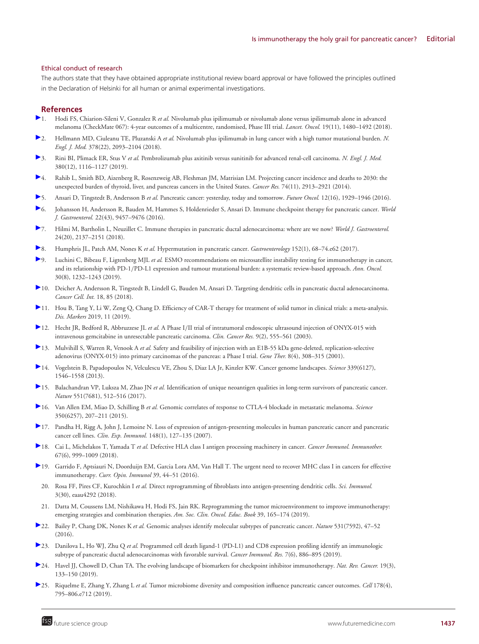## Ethical conduct of research

The authors state that they have obtained appropriate institutional review board approval or have followed the principles outlined in the Declaration of Helsinki for all human or animal experimental investigations.

## **References**

- [1](https://www.futuremedicine.com/action/showLinks?pmid=30361170&crossref=10.1016%2FS1470-2045%2818%2930700-9&coi=1%3ACAS%3A528%3ADC%252BC1cXhvFOqsr3K&citationId=p_1). Hodi FS, Chiarion-Sileni V, Gonzalez R *et al.* Nivolumab plus ipilimumab or nivolumab alone versus ipilimumab alone in advanced melanoma (CheckMate 067): 4-year outcomes of a multicentre, randomised, Phase III trial. *Lancet. Oncol.* 19(11), 1480–1492 (2018).
- [2](https://www.futuremedicine.com/action/showLinks?pmid=29658845&crossref=10.1056%2FNEJMoa1801946&coi=1%3ACAS%3A528%3ADC%252BC1cXhtV2rtrnL&citationId=p_2). Hellmann MD, Ciuleanu TE, Pluzanski A *et al.* Nivolumab plus ipilimumab in lung cancer with a high tumor mutational burden. *N. Engl. J. Med.* 378(22), 2093–2104 (2018).
- [3](https://www.futuremedicine.com/action/showLinks?pmid=30779529&crossref=10.1056%2FNEJMoa1816714&coi=1%3ACAS%3A528%3ADC%252BC1MXntVKis7w%253D&citationId=p_3). Rini BI, Plimack ER, Stus V *et al.* Pembrolizumab plus axitinib versus sunitinib for advanced renal-cell carcinoma. *N. Engl. J. Med.* 380(12), 1116–1127 (2019).
- [4](https://www.futuremedicine.com/action/showLinks?pmid=24840647&crossref=10.1158%2F0008-5472.CAN-14-0155&coi=1%3ACAS%3A528%3ADC%252BC2cXovFalur0%253D&citationId=p_4). Rahib L, Smith BD, Aizenberg R, Rosenzweig AB, Fleshman JM, Matrisian LM. Projecting cancer incidence and deaths to 2030: the unexpected burden of thyroid, liver, and pancreas cancers in the United States. *Cancer Res.* 74(11), 2913–2921 (2014).
- [5](https://www.futuremedicine.com/action/showLinks?system=10.2217%2Ffon-2016-0010&coi=1%3ACAS%3A528%3ADC%252BC28Xht1aju7jP&citationId=p_5). Ansari D, Tingstedt B, Andersson B *et al.* Pancreatic cancer: yesterday, today and tomorrow. *Future Oncol.* 12(16), 1929–1946 (2016).
- [6](https://www.futuremedicine.com/action/showLinks?pmid=27920468&crossref=10.3748%2Fwjg.v22.i43.9457&coi=1%3ACAS%3A528%3ADC%252BC2sXitVajsrzP&citationId=p_6). Johansson H, Andersson R, Bauden M, Hammes S, Holdenrieder S, Ansari D. Immune checkpoint therapy for pancreatic cancer. *World J. Gastroenterol.* 22(43), 9457–9476 (2016).
- [7](https://www.futuremedicine.com/action/showLinks?pmid=29853732&crossref=10.3748%2Fwjg.v24.i20.2137&coi=1%3ACAS%3A528%3ADC%252BC1MXhs1CnsLc%253D&citationId=p_7). Hilmi M, Bartholin L, Neuzillet C. Immune therapies in pancreatic ductal adenocarcinoma: where are we now? *World J. Gastroenterol.* 24(20), 2137–2151 (2018).
- [8](https://www.futuremedicine.com/action/showLinks?pmid=27856273&crossref=10.1053%2Fj.gastro.2016.09.060&coi=1%3ACAS%3A528%3ADC%252BC28XitFSls7fI&citationId=p_8). Humphris JL, Patch AM, Nones K *et al.* Hypermutation in pancreatic cancer. *Gastroenterology* 152(1), 68–74.e62 (2017).
- [9](https://www.futuremedicine.com/action/showLinks?crossref=10.1093%2Fannonc%2Fmdz116&coi=1%3ASTN%3A280%3ADC%252BB3M7isFyjtw%253D%253D&citationId=p_9). Luchini C, Bibeau F, Ligtenberg MJL *et al.* ESMO recommendations on microsatellite instability testing for immunotherapy in cancer, and its relationship with PD-1/PD-L1 expression and tumour mutational burden: a systematic review-based approach. *Ann. Oncol.* 30(8), 1232–1243 (2019).
- [1](https://www.futuremedicine.com/action/showLinks?pmid=29946224&crossref=10.1186%2Fs12935-018-0585-0&citationId=p_10)0. Deicher A, Andersson R, Tingstedt B, Lindell G, Bauden M, Ansari D. Targeting dendritic cells in pancreatic ductal adenocarcinoma. *Cancer Cell. Int.* 18, 85 (2018).
- [1](https://www.futuremedicine.com/action/showLinks?crossref=10.1155%2F2019%2F3425291&citationId=p_11)1. Hou B, Tang Y, Li W, Zeng Q, Chang D. Efficiency of CAR-T therapy for treatment of solid tumor in clinical trials: a meta-analysis. *Dis. Markers* 2019, 11 (2019).
- [1](https://www.futuremedicine.com/action/showLinks?pmid=12576418&coi=1%3ACAS%3A528%3ADC%252BD3sXhtVKksr0%253D&citationId=p_12)2. Hecht JR, Bedford R, Abbruzzese JL et al. A Phase I/II trial of intratumoral endoscopic ultrasound injection of ONYX-015 with intravenous gemcitabine in unresectable pancreatic carcinoma. *Clin. Cancer Res.* 9(2), 555–561 (2003).
- [1](https://www.futuremedicine.com/action/showLinks?pmid=11313805&crossref=10.1038%2Fsj.gt.3301398&coi=1%3ACAS%3A528%3ADC%252BD3MXhs1Kmsrw%253D&citationId=p_13)3. Mulvihill S, Warren R, Venook A *et al.* Safety and feasibility of injection with an E1B-55 kDa gene-deleted, replication-selective adenovirus (ONYX-015) into primary carcinomas of the pancreas: a Phase I trial. *Gene Ther.* 8(4), 308–315 (2001).
- [1](https://www.futuremedicine.com/action/showLinks?pmid=23539594&crossref=10.1126%2Fscience.1235122&coi=1%3ACAS%3A528%3ADC%252BC3sXksFOhsb0%253D&citationId=p_14)4. Vogelstein B, Papadopoulos N, Velculescu VE, Zhou S, Diaz LA Jr, Kinzler KW. Cancer genome landscapes. *Science* 339(6127), 1546–1558 (2013).
- [1](https://www.futuremedicine.com/action/showLinks?pmid=29132146&crossref=10.1038%2Fnature24462&coi=1%3ACAS%3A528%3ADC%252BC2sXhslygtLjP&citationId=p_15)5. Balachandran VP, Luksza M, Zhao JN *et al.* Identification of unique neoantigen qualities in long-term survivors of pancreatic cancer. *Nature* 551(7681), 512–516 (2017).
- [1](https://www.futuremedicine.com/action/showLinks?pmid=26359337&crossref=10.1126%2Fscience.aad0095&coi=1%3ACAS%3A528%3ADC%252BC2MXhs1antLnJ&citationId=p_16)6. Van Allen EM, Miao D, Schilling B *et al.* Genomic correlates of response to CTLA-4 blockade in metastatic melanoma. *Science* 350(6257), 207–211 (2015).
- [1](https://www.futuremedicine.com/action/showLinks?pmid=17302733&crossref=10.1111%2Fj.1365-2249.2006.03289.x&coi=1%3ACAS%3A528%3ADC%252BD2sXlt1GrsLY%253D&citationId=p_17)7. Pandha H, Rigg A, John J, Lemoine N. Loss of expression of antigen-presenting molecules in human pancreatic cancer and pancreatic cancer cell lines. *Clin. Exp. Immunol.* 148(1), 127–135 (2007).
- [1](https://www.futuremedicine.com/action/showLinks?pmid=29487978&crossref=10.1007%2Fs00262-018-2131-2&coi=1%3ACAS%3A528%3ADC%252BC1cXktVyrurc%253D&citationId=p_18)8. Cai L, Michelakos T, Yamada T *et al.* Defective HLA class I antigen processing machinery in cancer. *Cancer Immunol. Immunother.* 67(6), 999–1009 (2018).
- [1](https://www.futuremedicine.com/action/showLinks?pmid=26796069&crossref=10.1016%2Fj.coi.2015.12.007&coi=1%3ACAS%3A528%3ADC%252BC28Xlt1CltQ%253D%253D&citationId=p_19)9. Garrido F, Aptsiauri N, Doorduijn EM, Garcia Lora AM, Van Hall T. The urgent need to recover MHC class I in cancers for effective immunotherapy. *Curr. Opin. Immunol* 39, 44–51 (2016).
	- 20. Rosa FF, Pires CF, Kurochkin I *et al.* Direct reprogramming of fibroblasts into antigen-presenting dendritic cells. *Sci. Immunol.* 3(30), eaau4292 (2018).
- 21. Datta M, Coussens LM, Nishikawa H, Hodi FS, Jain RK. Reprogramming the tumor microenvironment to improve immunotherapy: emerging strategies and combination therapies. *Am. Soc. Clin. Oncol. Educ. Book* 39, 165–174 (2019).
- [2](https://www.futuremedicine.com/action/showLinks?pmid=26909576&crossref=10.1038%2Fnature16965&coi=1%3ACAS%3A528%3ADC%252BC28XjtFOisr0%253D&citationId=p_22)2. Bailey P, Chang DK, Nones K *et al.* Genomic analyses identify molecular subtypes of pancreatic cancer. *Nature* 531(7592), 47–52 (2016).
- [2](https://www.futuremedicine.com/action/showLinks?pmid=31043417&crossref=10.1158%2F2326-6066.CIR-18-0822&citationId=p_23)3. Danilova L, Ho WJ, Zhu Q *et al.* Programmed cell death ligand-1 (PD-L1) and CD8 expression profiling identify an immunologic subtype of pancreatic ductal adenocarcinomas with favorable survival. *Cancer Immunol. Res.* 7(6), 886–895 (2019).
- [2](https://www.futuremedicine.com/action/showLinks?pmid=30755690&crossref=10.1038%2Fs41568-019-0116-x&coi=1%3ACAS%3A528%3ADC%252BC1MXmt1ymsLc%253D&citationId=p_24)4. Havel JJ, Chowell D, Chan TA. The evolving landscape of biomarkers for checkpoint inhibitor immunotherapy. *Nat. Rev. Cancer.* 19(3), 133–150 (2019).
- [2](https://www.futuremedicine.com/action/showLinks?pmid=31398337&crossref=10.1016%2Fj.cell.2019.07.008&coi=1%3ACAS%3A528%3ADC%252BC1MXhsFKktrvI&citationId=p_25)5. Riquelme E, Zhang Y, Zhang L *et al.* Tumor microbiome diversity and composition influence pancreatic cancer outcomes. *Cell* 178(4), 795–806.e712 (2019).